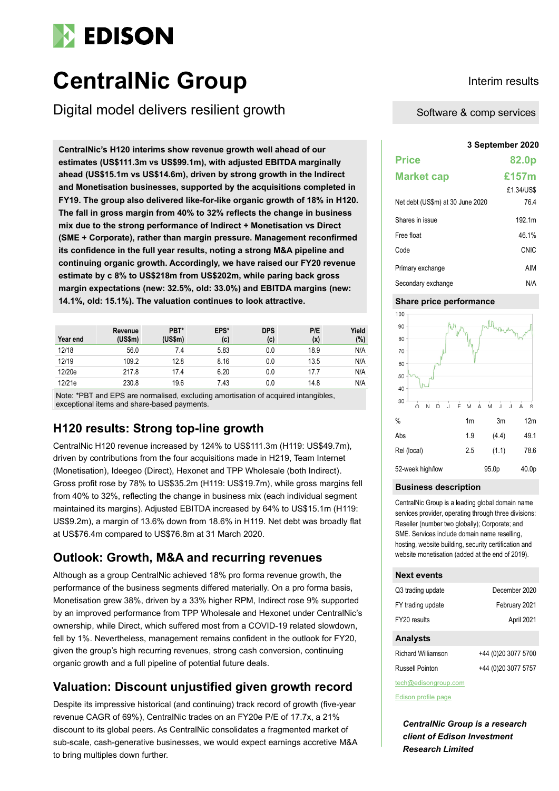# **EDISON**

# **CentralNic Group Interim results**

Digital model delivers resilient growth

**3 September 2020 CentralNic's H120 interims show revenue growth well ahead of our estimates (US\$111.3m vs US\$99.1m), with adjusted EBITDA marginally ahead (US\$15.1m vs US\$14.6m), driven by strong growth in the Indirect and Monetisation businesses, supported by the acquisitions completed in FY19. The group also delivered like-for-like organic growth of 18% in H120. The fall in gross margin from 40% to 32% reflects the change in business mix due to the strong performance of Indirect + Monetisation vs Direct (SME + Corporate), rather than margin pressure. Management reconfirmed its confidence in the full year results, noting a strong M&A pipeline and continuing organic growth. Accordingly, we have raised our FY20 revenue estimate by c 8% to US\$218m from US\$202m, while paring back gross margin expectations (new: 32.5%, old: 33.0%) and EBITDA margins (new: 14.1%, old: 15.1%). The valuation continues to look attractive.**

| Year end | Revenue<br>(US\$m) | PBT*<br>(US\$m) | EPS*<br>(c) | <b>DPS</b><br>(c) | P/E<br>(x) | Yield<br>(%) |
|----------|--------------------|-----------------|-------------|-------------------|------------|--------------|
| 12/18    | 56.0               | 7.4             | 5.83        | 0.0               | 18.9       | N/A          |
| 12/19    | 109.2              | 12.8            | 8.16        | 0.0               | 13.5       | N/A          |
| 12/20e   | 217.8              | 17.4            | 6.20        | 0.0               | 17.7       | N/A          |
| 12/21e   | 230.8              | 19.6            | 7.43        | 0.0               | 14.8       | N/A          |

Note: \*PBT and EPS are normalised, excluding amortisation of acquired intangibles, exceptional items and share-based payments.

# **H120 results: Strong top-line growth**

CentralNic H120 revenue increased by 124% to US\$111.3m (H119: US\$49.7m), driven by contributions from the four acquisitions made in H219, Team Internet (Monetisation), Ideegeo (Direct), Hexonet and TPP Wholesale (both Indirect). Gross profit rose by 78% to US\$35.2m (H119: US\$19.7m), while gross margins fell from 40% to 32%, reflecting the change in business mix (each individual segment maintained its margins). Adjusted EBITDA increased by 64% to US\$15.1m (H119: US\$9.2m), a margin of 13.6% down from 18.6% in H119. Net debt was broadly flat at US\$76.4m compared to US\$76.8m at 31 March 2020.

# **Outlook: Growth, M&A and recurring revenues**

Although as a group CentralNic achieved 18% pro forma revenue growth, the performance of the business segments differed materially. On a pro forma basis, Monetisation grew 38%, driven by a 33% higher RPM, Indirect rose 9% supported by an improved performance from TPP Wholesale and Hexonet under CentralNic's ownership, while Direct, which suffered most from a COVID-19 related slowdown, fell by 1%. Nevertheless, management remains confident in the outlook for FY20, given the group's high recurring revenues, strong cash conversion, continuing organic growth and a full pipeline of potential future deals.

# **Valuation: Discount unjustified given growth record**

Despite its impressive historical (and continuing) track record of growth (five-year revenue CAGR of 69%), CentralNic trades on an FY20e P/E of 17.7x, a 21% discount to its global peers. As CentralNic consolidates a fragmented market of sub-scale, cash-generative businesses, we would expect earnings accretive M&A to bring multiples down further.

Software & comp services

| <b>Price</b>                     | 82.0p      |
|----------------------------------|------------|
| <b>Market cap</b>                | £157m      |
|                                  | £1.34/US\$ |
| Net debt (US\$m) at 30 June 2020 | 76.4       |
| Shares in issue                  | 192.1m     |
| Free float                       | 46.1%      |
| Code                             | CNIC       |
| Primary exchange                 | AIM        |
| Secondary exchange               | N/A        |

### **Share price performance**



#### **Business description**

CentralNic Group is a leading global domain name services provider, operating through three divisions: Reseller (number two globally); Corporate; and SME. Services include domain name reselling, hosting, website building, security certification and website monetisation (added at the end of 2019).

#### **Next events**

| Q3 trading update  | December 2020       |
|--------------------|---------------------|
| FY trading update  | February 2021       |
| FY20 results       | April 2021          |
| <b>Analysts</b>    |                     |
| Richard Williamson | +44 (0)20 3077 5700 |

| Richard Williamson | +44 (0)20 3077 5700 |
|--------------------|---------------------|
| Russell Pointon    | +44 (0)20 3077 5757 |

tech@edisongroup.com

[Edison profile page](https://www.edisongroup.com/company/CentralNic-Group)

*CentralNic Group is a research client of Edison Investment Research Limited*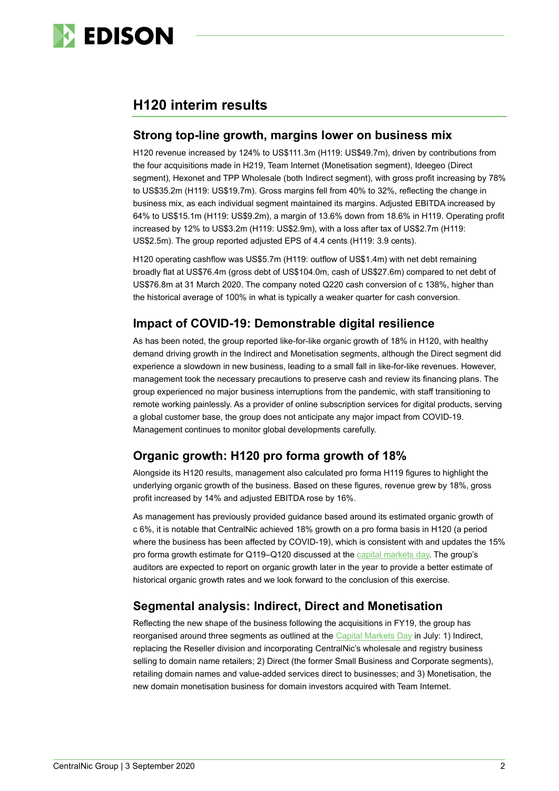

# **H120 interim results**

## **Strong top-line growth, margins lower on business mix**

H120 revenue increased by 124% to US\$111.3m (H119: US\$49.7m), driven by contributions from the four acquisitions made in H219, Team Internet (Monetisation segment), Ideegeo (Direct segment), Hexonet and TPP Wholesale (both Indirect segment), with gross profit increasing by 78% to US\$35.2m (H119: US\$19.7m). Gross margins fell from 40% to 32%, reflecting the change in business mix, as each individual segment maintained its margins. Adjusted EBITDA increased by 64% to US\$15.1m (H119: US\$9.2m), a margin of 13.6% down from 18.6% in H119. Operating profit increased by 12% to US\$3.2m (H119: US\$2.9m), with a loss after tax of US\$2.7m (H119: US\$2.5m). The group reported adjusted EPS of 4.4 cents (H119: 3.9 cents).

H120 operating cashflow was US\$5.7m (H119: outflow of US\$1.4m) with net debt remaining broadly flat at US\$76.4m (gross debt of US\$104.0m, cash of US\$27.6m) compared to net debt of US\$76.8m at 31 March 2020. The company noted Q220 cash conversion of c 138%, higher than the historical average of 100% in what is typically a weaker quarter for cash conversion.

# **Impact of COVID-19: Demonstrable digital resilience**

As has been noted, the group reported like-for-like organic growth of 18% in H120, with healthy demand driving growth in the Indirect and Monetisation segments, although the Direct segment did experience a slowdown in new business, leading to a small fall in like-for-like revenues. However, management took the necessary precautions to preserve cash and review its financing plans. The group experienced no major business interruptions from the pandemic, with staff transitioning to remote working painlessly. As a provider of online subscription services for digital products, serving a global customer base, the group does not anticipate any major impact from COVID-19. Management continues to monitor global developments carefully.

# **Organic growth: H120 pro forma growth of 18%**

Alongside its H120 results, management also calculated pro forma H119 figures to highlight the underlying organic growth of the business. Based on these figures, revenue grew by 18%, gross profit increased by 14% and adjusted EBITDA rose by 16%.

As management has previously provided guidance based around its estimated organic growth of c 6%, it is notable that CentralNic achieved 18% growth on a pro forma basis in H120 (a period where the business has been affected by COVID-19), which is consistent with and updates the 15% pro forma growth estimate for Q119-Q120 discussed at the [capital markets da](https://www.edisongroup.com/publication/a-platform-business-looking-to-scale/27195)y. The group's auditors are expected to report on organic growth later in the year to provide a better estimate of historical organic growth rates and we look forward to the conclusion of this exercise.

# **Segmental analysis: Indirect, Direct and Monetisation**

Reflecting the new shape of the business following the acquisitions in FY19, the group has reorganised around three segments as outlined at the [Capital Markets Day](https://www.edisongroup.com/publication/a-platform-business-looking-to-scale/27195) in July: 1) Indirect, replacing the Reseller division and incorporating CentralNic's wholesale and registry business selling to domain name retailers; 2) Direct (the former Small Business and Corporate segments), retailing domain names and value-added services direct to businesses; and 3) Monetisation, the new domain monetisation business for domain investors acquired with Team Internet.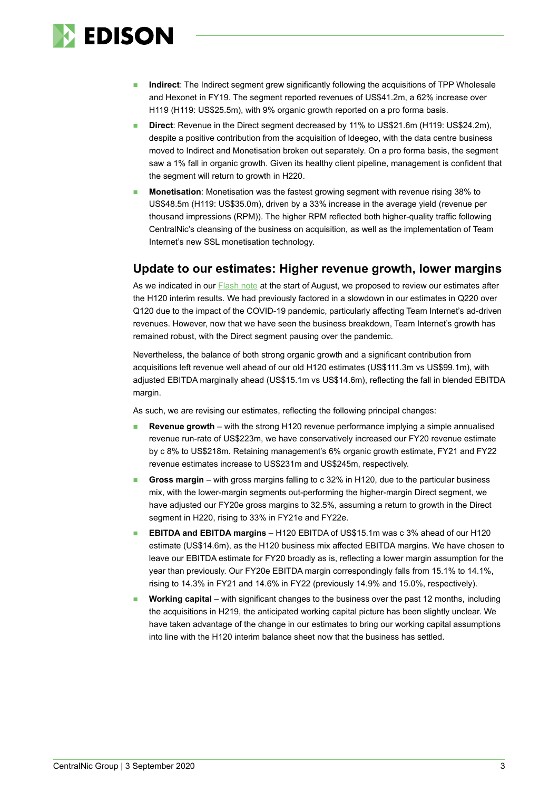

- Indirect: The Indirect segment grew significantly following the acquisitions of TPP Wholesale and Hexonet in FY19. The segment reported revenues of US\$41.2m, a 62% increase over H119 (H119: US\$25.5m), with 9% organic growth reported on a pro forma basis.
- ◼ **Direct**: Revenue in the Direct segment decreased by 11% to US\$21.6m (H119: US\$24.2m), despite a positive contribution from the acquisition of Ideegeo, with the data centre business moved to Indirect and Monetisation broken out separately. On a pro forma basis, the segment saw a 1% fall in organic growth. Given its healthy client pipeline, management is confident that the segment will return to growth in H220.
- **Monetisation**: Monetisation was the fastest growing segment with revenue rising 38% to US\$48.5m (H119: US\$35.0m), driven by a 33% increase in the average yield (revenue per thousand impressions (RPM)). The higher RPM reflected both higher-quality traffic following CentralNic's cleansing of the business on acquisition, as well as the implementation of Team Internet's new SSL monetisation technology.

## **Update to our estimates: Higher revenue growth, lower margins**

As we indicated in our [Flash note](https://www.edisongroup.com/publication/strong-growth-but-lower-q2-margins/27490/) at the start of August, we proposed to review our estimates after the H120 interim results. We had previously factored in a slowdown in our estimates in Q220 over Q120 due to the impact of the COVID-19 pandemic, particularly affecting Team Internet's ad-driven revenues. However, now that we have seen the business breakdown, Team Internet's growth has remained robust, with the Direct segment pausing over the pandemic.

Nevertheless, the balance of both strong organic growth and a significant contribution from acquisitions left revenue well ahead of our old H120 estimates (US\$111.3m vs US\$99.1m), with adjusted EBITDA marginally ahead (US\$15.1m vs US\$14.6m), reflecting the fall in blended EBITDA margin.

As such, we are revising our estimates, reflecting the following principal changes:

- **Revenue growth** with the strong H120 revenue performance implying a simple annualised revenue run-rate of US\$223m, we have conservatively increased our FY20 revenue estimate by c 8% to US\$218m. Retaining management's 6% organic growth estimate, FY21 and FY22 revenue estimates increase to US\$231m and US\$245m, respectively.
- ◼ **Gross margin** with gross margins falling to c 32% in H120, due to the particular business mix, with the lower-margin segments out-performing the higher-margin Direct segment, we have adjusted our FY20e gross margins to 32.5%, assuming a return to growth in the Direct segment in H220, rising to 33% in FY21e and FY22e.
- ◼ **EBITDA and EBITDA margins** H120 EBITDA of US\$15.1m was c 3% ahead of our H120 estimate (US\$14.6m), as the H120 business mix affected EBITDA margins. We have chosen to leave our EBITDA estimate for FY20 broadly as is, reflecting a lower margin assumption for the year than previously. Our FY20e EBITDA margin correspondingly falls from 15.1% to 14.1%, rising to 14.3% in FY21 and 14.6% in FY22 (previously 14.9% and 15.0%, respectively).
- **Working capital** with significant changes to the business over the past 12 months, including the acquisitions in H219, the anticipated working capital picture has been slightly unclear. We have taken advantage of the change in our estimates to bring our working capital assumptions into line with the H120 interim balance sheet now that the business has settled.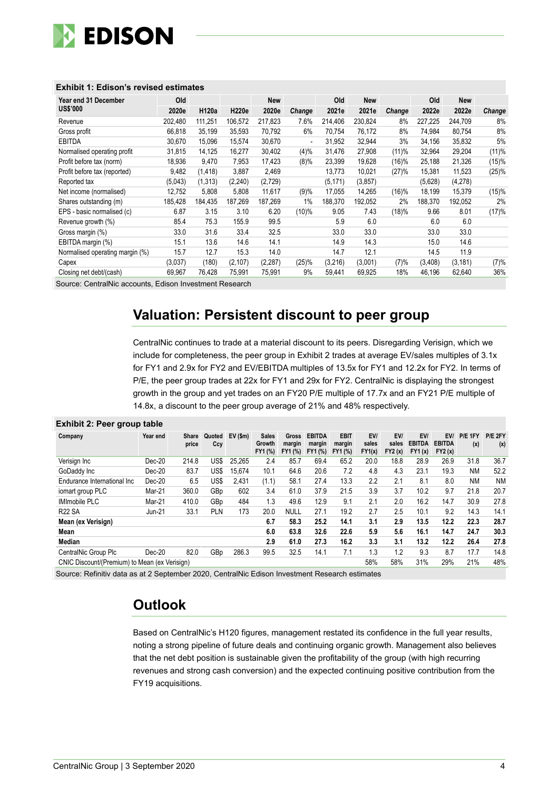

| Year end 31 December            | Old     |          |          | <b>New</b> |                          | Old      | <b>New</b> |        | Old     | <b>New</b> |        |
|---------------------------------|---------|----------|----------|------------|--------------------------|----------|------------|--------|---------|------------|--------|
| <b>US\$'000</b>                 | 2020e   | H120a    | H220e    | 2020e      | Change                   | 2021e    | 2021e      | Change | 2022e   | 2022e      | Change |
| Revenue                         | 202,480 | 111,251  | 106,572  | 217,823    | 7.6%                     | 214.406  | 230,824    | 8%     | 227,225 | 244,709    | 8%     |
| Gross profit                    | 66,818  | 35,199   | 35,593   | 70,792     | 6%                       | 70.754   | 76,172     | 8%     | 74,984  | 80,754     | 8%     |
| <b>EBITDA</b>                   | 30.670  | 15.096   | 15.574   | 30,670     | $\overline{\phantom{0}}$ | 31.952   | 32,944     | 3%     | 34,156  | 35,832     | 5%     |
| Normalised operating profit     | 31,815  | 14,125   | 16.277   | 30,402     | (4)%                     | 31.476   | 27,908     | (11)%  | 32,964  | 29,204     | (11)%  |
| Profit before tax (norm)        | 18.936  | 9.470    | 7,953    | 17.423     | (8)%                     | 23.399   | 19,628     | (16)%  | 25,188  | 21,326     | (15)%  |
| Profit before tax (reported)    | 9.482   | (1, 418) | 3.887    | 2,469      |                          | 13.773   | 10,021     | (27)%  | 15.381  | 11,523     | (25)%  |
| Reported tax                    | (5,043) | (1,313)  | (2, 240) | (2,729)    |                          | (5, 171) | (3, 857)   |        | (5,628) | (4,278)    |        |
| Net income (normalised)         | 12,752  | 5,808    | 5,808    | 11,617     | (9)%                     | 17,055   | 14,265     | (16)%  | 18,199  | 15,379     | (15)%  |
| Shares outstanding (m)          | 185,428 | 184,435  | 187.269  | 187,269    | 1%                       | 188,370  | 192,052    | 2%     | 188.370 | 192,052    | 2%     |
| EPS - basic normalised (c)      | 6.87    | 3.15     | 3.10     | 6.20       | (10)%                    | 9.05     | 7.43       | (18)%  | 9.66    | 8.01       | (17)%  |
| Revenue growth (%)              | 85.4    | 75.3     | 155.9    | 99.5       |                          | 5.9      | 6.0        |        | 6.0     | 6.0        |        |
| Gross margin (%)                | 33.0    | 31.6     | 33.4     | 32.5       |                          | 33.0     | 33.0       |        | 33.0    | 33.0       |        |
| EBITDA margin (%)               | 15.1    | 13.6     | 14.6     | 14.1       |                          | 14.9     | 14.3       |        | 15.0    | 14.6       |        |
| Normalised operating margin (%) | 15.7    | 12.7     | 15.3     | 14.0       |                          | 14.7     | 12.1       |        | 14.5    | 11.9       |        |
| Capex                           | (3,037) | (180)    | (2, 107) | (2, 287)   | (25)%                    | (3,216)  | (3,001)    | (7)%   | (3,408) | (3, 181)   | (7)%   |
| Closing net debt/(cash)         | 69,967  | 76,428   | 75,991   | 75,991     | 9%                       | 59,441   | 69,925     | 18%    | 46,196  | 62,640     | 36%    |

### **Exhibit 1: Edison's revised estimates**

Source: CentralNic accounts, Edison Investment Research

# **Valuation: Persistent discount to peer group**

CentralNic continues to trade at a material discount to its peers. Disregarding Verisign, which we include for completeness, the peer group in Exhibit 2 trades at average EV/sales multiples of 3.1x for FY1 and 2.9x for FY2 and EV/EBITDA multiples of 13.5x for FY1 and 12.2x for FY2. In terms of P/E, the peer group trades at 22x for FY1 and 29x for FY2. CentralNic is displaying the strongest growth in the group and yet trades on an FY20 P/E multiple of 17.7x and an FY21 P/E multiple of 14.8x, a discount to the peer group average of 21% and 48% respectively.

#### **Exhibit 2: Peer group table**

| Company                                                                          | Year end      | Share<br>price | Quoted<br>Ccy | $EV($ \$m $)$ | <b>Sales</b><br>Growth<br>FY1 (%) | Gross<br>margin<br>FY1 (%) | <b>EBITDA</b><br>margin<br>FY1 (%) | <b>EBIT</b><br>margin<br>FY1 (%) | EV/<br>sales<br>FY1(x) | EV/<br>sales<br>FY2(x) | EV/<br><b>EBITDA</b><br><b>FY1 (x)</b> | EV/<br><b>EBITDA</b><br>FY2(x) | P/E 1FY<br>(x) | P/E 2FY<br>(x) |
|----------------------------------------------------------------------------------|---------------|----------------|---------------|---------------|-----------------------------------|----------------------------|------------------------------------|----------------------------------|------------------------|------------------------|----------------------------------------|--------------------------------|----------------|----------------|
| Verisign Inc                                                                     | Dec-20        | 214.8          | US\$          | 25.265        | 2.4                               | 85.7                       | 69.4                               | 65.2                             | 20.0                   | 18.8                   | 28.9                                   | 26.9                           | 31.8           | 36.7           |
| GoDaddy Inc                                                                      | Dec-20        | 83.7           | US\$          | 15.674        | 10.1                              | 64.6                       | 20.6                               | 7.2                              | 4.8                    | 4.3                    | 23.1                                   | 19.3                           | <b>NM</b>      | 52.2           |
| Endurance International Inc                                                      | Dec-20        | 6.5            | US\$          | 2.431         | (1.1)                             | 58.1                       | 27.4                               | 13.3                             | 2.2                    | 2.1                    | 8.1                                    | 8.0                            | <b>NM</b>      | <b>NM</b>      |
| iomart group PLC                                                                 | Mar-21        | 360.0          | GBp           | 602           | 3.4                               | 61.0                       | 37.9                               | 21.5                             | 3.9                    | 3.7                    | 10.2                                   | 9.7                            | 21.8           | 20.7           |
| <b>IMImobile PLC</b>                                                             | Mar-21        | 410.0          | GBp           | 484           | 1.3                               | 49.6                       | 12.9                               | 9.1                              | 2.1                    | 2.0                    | 16.2                                   | 14.7                           | 30.9           | 27.8           |
| <b>R22 SA</b>                                                                    | <b>Jun-21</b> | 33.1           | PLN           | 173           | 20.0                              | <b>NULL</b>                | 27.1                               | 19.2                             | 2.7                    | 2.5                    | 10.1                                   | 9.2                            | 14.3           | 14.1           |
| Mean (ex Verisign)                                                               |               |                |               |               | 6.7                               | 58.3                       | 25.2                               | 14.1                             | 3.1                    | 2.9                    | 13.5                                   | 12.2                           | 22.3           | 28.7           |
| Mean                                                                             |               |                |               |               | 6.0                               | 63.8                       | 32.6                               | 22.6                             | 5.9                    | 5.6                    | 16.1                                   | 14.7                           | 24.7           | 30.3           |
| Median                                                                           |               |                |               |               | 2.9                               | 61.0                       | 27.3                               | 16.2                             | 3.3                    | 3.1                    | 13.2                                   | 12.2                           | 26.4           | 27.8           |
| CentralNic Group Plc                                                             | Dec-20        | 82.0           | GBp           | 286.3         | 99.5                              | 32.5                       | 14.1                               | 7.1                              | 1.3                    | 1.2                    | 9.3                                    | 8.7                            | 17.7           | 14.8           |
| 58%<br>58%<br>31%<br>29%<br>21%<br>CNIC Discount/(Premium) to Mean (ex Verisign) |               |                |               |               |                                   |                            |                                    | 48%                              |                        |                        |                                        |                                |                |                |

Source: Refinitiv data as at 2 September 2020, CentralNic Edison Investment Research estimates

# **Outlook**

Based on CentralNic's H120 figures, management restated its confidence in the full year results, noting a strong pipeline of future deals and continuing organic growth. Management also believes that the net debt position is sustainable given the profitability of the group (with high recurring revenues and strong cash conversion) and the expected continuing positive contribution from the FY19 acquisitions.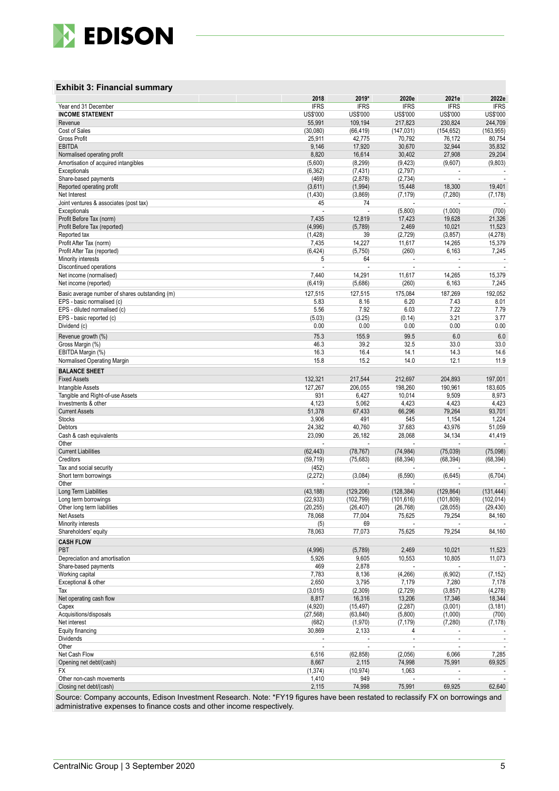

### **Exhibit 3: Financial summary**

|                                                        | 2018              | 2019*            | 2020e              | 2021e                    | 2022e                    |
|--------------------------------------------------------|-------------------|------------------|--------------------|--------------------------|--------------------------|
| Year end 31 December                                   | <b>IFRS</b>       | <b>IFRS</b>      | <b>IFRS</b>        | <b>IFRS</b>              | <b>IFRS</b>              |
| <b>INCOME STATEMENT</b>                                | US\$'000          | US\$'000         | US\$'000           | <b>US\$'000</b>          | <b>US\$'000</b>          |
| Revenue                                                | 55,991            | 109,194          | 217,823            | 230,824                  | 244,709                  |
| Cost of Sales<br><b>Gross Profit</b>                   | (30,080)          | (66, 419)        | (147, 031)         | (154, 652)               | (163, 955)               |
| <b>EBITDA</b>                                          | 25,911<br>9,146   | 42,775<br>17,920 | 70,792<br>30,670   | 76,172<br>32,944         | 80,754<br>35,832         |
| Normalised operating profit                            | 8,820             | 16,614           | 30,402             | 27,908                   | 29,204                   |
| Amortisation of acquired intangibles                   | (5,600)           | (8, 299)         | (9, 423)           | (9,607)                  | (9,803)                  |
| Exceptionals                                           | (6, 362)          | (7, 431)         | (2,797)            |                          |                          |
| Share-based payments                                   | (469)             | (2,878)          | (2,734)            | ÷,                       | $\overline{\phantom{a}}$ |
| Reported operating profit                              | (3,611)           | (1,994)          | 15,448             | 18,300                   | 19,401                   |
| Net Interest                                           | (1, 430)          | (3,869)          | (7, 179)           | (7, 280)                 | (7, 178)                 |
| Joint ventures & associates (post tax)                 | 45                | 74               |                    |                          |                          |
| Exceptionals                                           |                   |                  | (5,800)            | (1,000)                  | (700)                    |
| Profit Before Tax (norm)                               | 7,435             | 12,819           | 17,423             | 19,628                   | 21,326                   |
| Profit Before Tax (reported)                           | (4,996)           | (5,789)          | 2,469              | 10,021                   | 11,523                   |
| Reported tax                                           | (1, 428)<br>7,435 | 39<br>14,227     | (2, 729)<br>11,617 | (3, 857)<br>14,265       | (4, 278)<br>15,379       |
| Profit After Tax (norm)<br>Profit After Tax (reported) | (6, 424)          | (5,750)          | (260)              | 6,163                    | 7,245                    |
| Minority interests                                     | 5                 | 64               |                    | ÷,                       |                          |
| Discontinued operations                                |                   |                  |                    |                          |                          |
| Net income (normalised)                                | 7,440             | 14,291           | 11,617             | 14,265                   | 15,379                   |
| Net income (reported)                                  | (6, 419)          | (5,686)          | (260)              | 6,163                    | 7,245                    |
| Basic average number of shares outstanding (m)         | 127,515           | 127,515          | 175,084            | 187,269                  | 192,052                  |
| EPS - basic normalised (c)                             | 5.83              | 8.16             | 6.20               | 7.43                     | 8.01                     |
| EPS - diluted normalised (c)                           | 5.56              | 7.92             | 6.03               | 7.22                     | 7.79                     |
| EPS - basic reported (c)                               | (5.03)            | (3.25)           | (0.14)             | 3.21                     | 3.77                     |
| Dividend (c)                                           | 0.00              | 0.00             | 0.00               | 0.00                     | 0.00                     |
|                                                        | 75.3              | 155.9            | 99.5               | 6.0                      | 6.0                      |
| Revenue growth (%)<br>Gross Margin (%)                 | 46.3              | 39.2             | 32.5               | 33.0                     | 33.0                     |
| EBITDA Margin (%)                                      | 16.3              | 16.4             | 14.1               | 14.3                     | 14.6                     |
| Normalised Operating Margin                            | 15.8              | 15.2             | 14.0               | 12.1                     | 11.9                     |
| <b>BALANCE SHEET</b>                                   |                   |                  |                    |                          |                          |
| <b>Fixed Assets</b>                                    | 132,321           | 217,544          | 212,697            | 204,893                  | 197,001                  |
| Intangible Assets                                      | 127,267           | 206,055          | 198,260            | 190,961                  | 183,605                  |
| Tangible and Right-of-use Assets                       | 931               | 6,427            | 10,014             | 9,509                    | 8,973                    |
| Investments & other                                    | 4,123             | 5,062            | 4,423              | 4,423                    | 4,423                    |
| <b>Current Assets</b>                                  | 51,378            | 67,433           | 66,296             | 79,264                   | 93,701                   |
| <b>Stocks</b>                                          | 3,906             | 491              | 545                | 1,154                    | 1,224                    |
| Debtors                                                | 24,382            | 40,760           | 37,683             | 43,976                   | 51,059                   |
| Cash & cash equivalents                                | 23,090            | 26,182           | 28,068             | 34,134                   | 41,419                   |
| Other                                                  | ÷.                | ÷,               | Ĭ.                 | $\overline{\phantom{a}}$ |                          |
| <b>Current Liabilities</b>                             | (62, 443)         | (78, 767)        | (74, 984)          | (75, 039)                | (75,098)                 |
| Creditors                                              | (59, 719)         | (75, 683)        | (68, 394)          | (68, 394)                | (68, 394)                |
| Tax and social security                                | (452)             |                  |                    |                          |                          |
| Short term borrowings                                  | (2,272)           | (3,084)          | (6, 590)           | (6,645)                  | (6, 704)                 |
| Other<br>Long Term Liabilities                         | (43, 188)         | (129, 206)       | (128, 384)         | (129, 864)               | (131, 444)               |
| Long term borrowings                                   | (22, 933)         | (102, 799)       | (101, 616)         | (101, 809)               | (102, 014)               |
| Other long term liabilities                            | (20, 255)         | (26, 407)        | (26, 768)          | (28, 055)                | (29, 430)                |
| Net Assets                                             | 78,068            | 77,004           | 75,625             | 79,254                   | 84,160                   |
| Minority interests                                     | (5)               | 69               |                    |                          |                          |
| Shareholders' equity                                   | 78,063            | 77,073           | 75,625             | 79,254                   | 84,160                   |
| <b>CASH FLOW</b>                                       |                   |                  |                    |                          |                          |
| PBT                                                    | (4,996)           | (5,789)          | 2,469              | 10,021                   | 11,523                   |
| Depreciation and amortisation                          | 5,926             | 9,605            | 10,553             | 10,805                   | 11,073                   |
| Share-based payments                                   | 469               | 2,878            |                    |                          |                          |
| Working capital                                        | 7,783             | 8,136            | (4,266)            | (6,902)                  | (7, 152)                 |
| Exceptional & other                                    | 2,650             | 3,795            | 7,179              | 7,280                    | 7,178                    |
| Tax                                                    | (3,015)           | (2, 309)         | (2,729)            | (3, 857)                 | (4, 278)                 |
| Net operating cash flow                                | 8,817             | 16,316           | 13,206             | 17,346                   | 18,344                   |
| Capex                                                  | (4,920)           | (15, 497)        | (2, 287)           | (3,001)                  | (3, 181)                 |
| Acquisitions/disposals                                 | (27, 568)         | (63, 840)        | (5,800)            | (1,000)                  | (700)                    |
| Net interest                                           | (682)             | (1,970)          | (7, 179)           | (7, 280)                 | (7, 178)                 |
| Equity financing                                       | 30,869            | 2,133            | 4                  |                          |                          |
| Dividends<br>Other                                     | $\sim$            |                  |                    |                          |                          |
| Net Cash Flow                                          | 6,516             | (62, 858)        | (2,056)            | 6,066                    | 7,285                    |
| Opening net debt/(cash)                                | 8,667             | 2,115            | 74,998             | 75,991                   | 69,925                   |
| FX                                                     | (1, 374)          | (10, 974)        | 1,063              |                          |                          |
| Other non-cash movements                               | 1,410             | 949              |                    |                          |                          |
| Closing net debt/(cash)                                | 2,115             | 74,998           | 75,991             | 69,925                   | 62,640                   |

Source: Company accounts, Edison Investment Research. Note: \*FY19 figures have been restated to reclassify FX on borrowings and administrative expenses to finance costs and other income respectively.